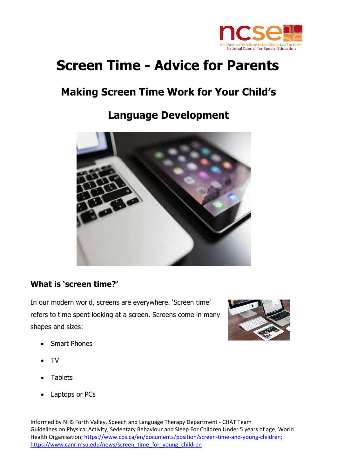

# **Screen Time - Advice for Parents**

# **Making Screen Time Work for Your Child's**

## **Language Development**



#### **What is 'screen time?'**

In our modern world, screens are everywhere. 'Screen time' refers to time spent looking at a screen. Screens come in many shapes and sizes:



- Smart Phones
- TV
- **Tablets**
- Laptops or PCs

Informed by NHS Forth Valley, Speech and Language Therapy Department - CHAT Team Guidelines on Physical Activity, Sedentary Behaviour and Sleep For Children Under 5 years of age; World Health Organisation[; https://www.cps.ca/en/documents/position/screen-time-and-young-children;](https://www.cps.ca/en/documents/position/screen-time-and-young-children) [https://www.canr.msu.edu/news/screen\\_time\\_for\\_young\\_children](https://www.canr.msu.edu/news/screen_time_for_young_children)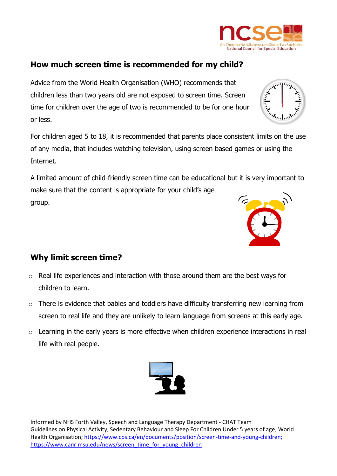

Advice from the World Health Organisation (WHO) recommends that children less than two years old are not exposed to screen time. Screen time for children over the age of two is recommended to be for one hour or less.

For children aged 5 to 18, it is recommended that parents place consistent limits on the use of any media, that includes watching television, using screen based games or using the Internet.

A limited amount of child-friendly screen time can be educational but it is very important to make sure that the content is appropriate for your child's age group.

### **Why limit screen time?**

- o Real life experiences and interaction with those around them are the best ways for children to learn.
- o There is evidence that babies and toddlers have difficulty transferring new learning from screen to real life and they are unlikely to learn language from screens at this early age.
- $\circ$  Learning in the early vears is more effective when children experience interactions in real life with real people.

Informed by NHS Forth Valley, Speech and Language Therapy Department - CHAT Team Guidelines on Physical Activity, Sedentary Behaviour and Sleep For Children Under 5 years of age; World Health Organisation[; https://www.cps.ca/en/documents/position/screen-time-and-young-children;](https://www.cps.ca/en/documents/position/screen-time-and-young-children) [https://www.canr.msu.edu/news/screen\\_time\\_for\\_young\\_children](https://www.canr.msu.edu/news/screen_time_for_young_children)



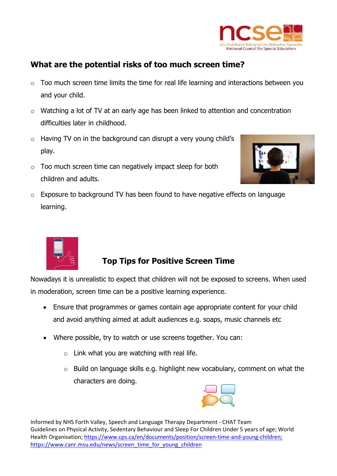

### **What are the potential risks of too much screen time?**

- o Too much screen time limits the time for real life learning and interactions between you and your child.
- o Watching a lot of TV at an early age has been linked to attention and concentration difficulties later in childhood.
- o Having TV on in the background can disrupt a very young child's play.
- $\circ$  Too much screen time can negatively impact sleep for both children and adults.



o Exposure to background TV has been found to have negative effects on language learning.



#### **Top Tips for Positive Screen Time**

Nowadays it is unrealistic to expect that children will not be exposed to screens. When used in moderation, screen time can be a positive learning experience.

- Ensure that programmes or games contain age appropriate content for your child and avoid anything aimed at adult audiences e.g. soaps, music channels etc
- Where possible, try to watch or use screens together. You can:
	- $\circ$  Link what you are watching with real life.
	- o Build on language skills e.g. highlight new vocabulary, comment on what the characters are doing.



Informed by NHS Forth Valley, Speech and Language Therapy Department - CHAT Team Guidelines on Physical Activity, Sedentary Behaviour and Sleep For Children Under 5 years of age; World Health Organisation[; https://www.cps.ca/en/documents/position/screen-time-and-young-children;](https://www.cps.ca/en/documents/position/screen-time-and-young-children) [https://www.canr.msu.edu/news/screen\\_time\\_for\\_young\\_children](https://www.canr.msu.edu/news/screen_time_for_young_children)